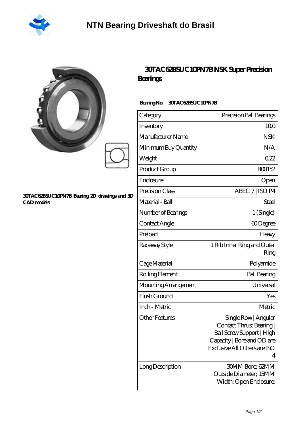

|                                                            | 30TAC62BSUC10PN<br><b>Bearings</b>  |
|------------------------------------------------------------|-------------------------------------|
|                                                            | <b>30TAC62BSUC10</b><br>Bearing No. |
|                                                            | Category                            |
|                                                            | Inventory                           |
|                                                            | Manufacturer Name                   |
|                                                            | Minimum Buy Quantity                |
|                                                            | Weight                              |
|                                                            | Product Group                       |
|                                                            | Enclosure                           |
|                                                            | Precision Class                     |
| 30TAC62BSUC10PN7B Bearing 2D drawings and 3D<br>CAD models | Material - Ball                     |

## **[30TAC62BSUC10PN7B NSK Super Precision](https://vancouverbeerblog.com/super-precision-bearings/30tac62bsuc10pn7b.html)**

## **Bearing No. 30TAC62BSUC10PN7B**

| Category              | Precision Ball Bearings                                                                                                                        |
|-----------------------|------------------------------------------------------------------------------------------------------------------------------------------------|
| Inventory             | 100                                                                                                                                            |
| Manufacturer Name     | <b>NSK</b>                                                                                                                                     |
| Minimum Buy Quantity  | N/A                                                                                                                                            |
| Weight                | 022                                                                                                                                            |
| Product Group         | BO0152                                                                                                                                         |
| Enclosure             | Open                                                                                                                                           |
| Precision Class       | ABEC 7   ISO P4                                                                                                                                |
| Material - Ball       | Steel                                                                                                                                          |
| Number of Bearings    | 1 (Single)                                                                                                                                     |
| Contact Angle         | 60Degree                                                                                                                                       |
| Preload               | Heavy                                                                                                                                          |
| Raceway Style         | 1 Rib Inner Ring and Outer<br>Ring                                                                                                             |
| Cage Material         | Polyamide                                                                                                                                      |
| Rolling Element       | <b>Ball Bearing</b>                                                                                                                            |
| Mounting Arrangement  | Universal                                                                                                                                      |
| Flush Ground          | Yes                                                                                                                                            |
| Inch - Metric         | Metric                                                                                                                                         |
| <b>Other Features</b> | Single Row   Angular<br>Contact Thrust Bearing<br>Ball Screw Support   High<br>Capacity   Bore and OD are<br>Exclusive All Others are ISO<br>4 |
| Long Description      | <b>30MM Bore; 62MM</b><br>Outside Diameter; 15MM<br>Width; Open Enclosure;                                                                     |